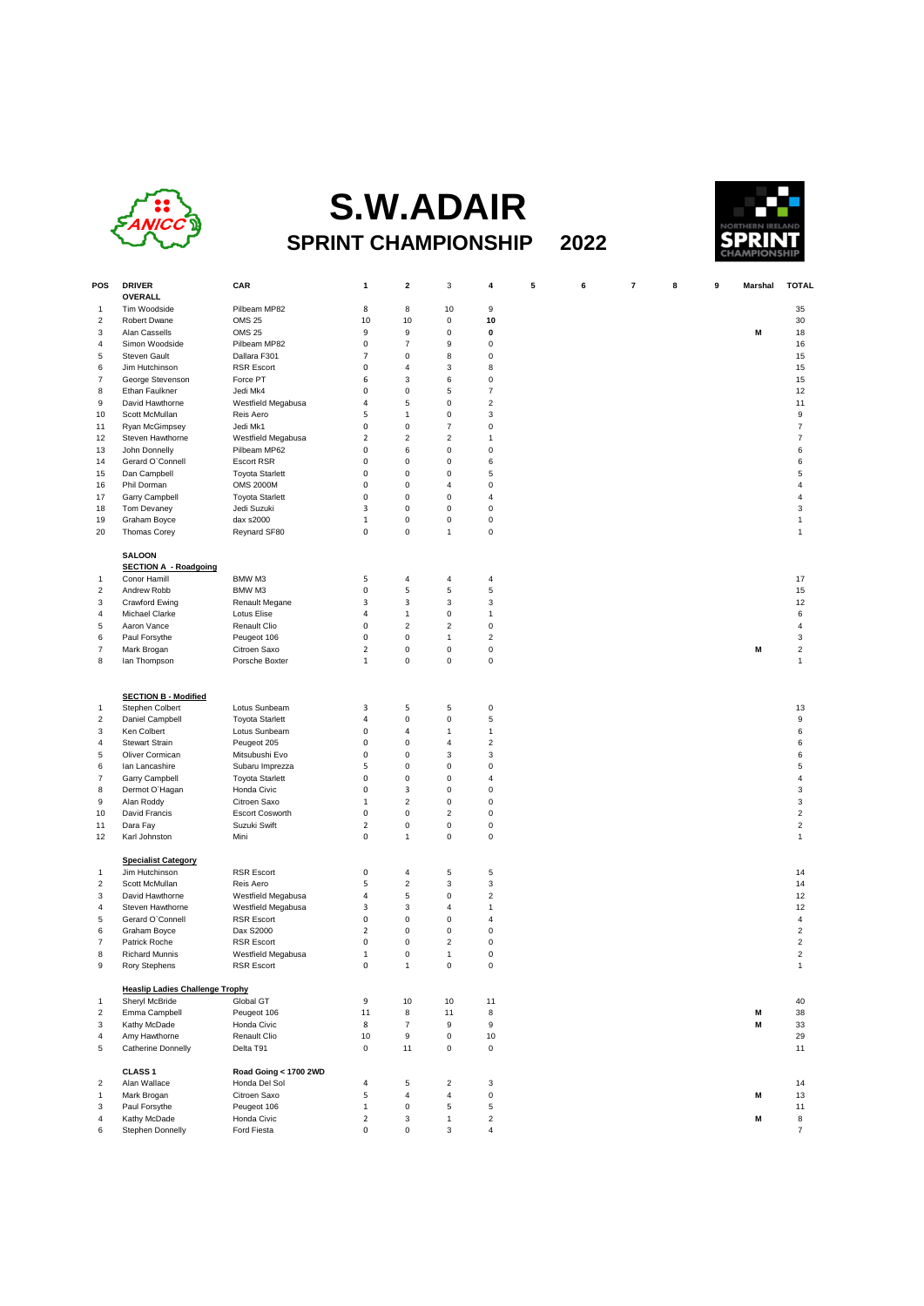

## **S.W.ADAIR SPRINT CHAMPIONSHIP 2022**



| POS                     | <b>DRIVER</b><br><b>OVERALL</b>        | CAR                           | 1              | $\mathbf{2}$     | 3                         | 4                       | 5 | 6 | 7 | 8 | 9 | Marshal | <b>TOTAL</b>              |
|-------------------------|----------------------------------------|-------------------------------|----------------|------------------|---------------------------|-------------------------|---|---|---|---|---|---------|---------------------------|
| 1                       | Tim Woodside                           | Pilbeam MP82                  | 8              | 8                | 10                        | 9                       |   |   |   |   |   |         | 35                        |
| $\overline{\mathbf{c}}$ | Robert Dwane                           | <b>OMS 25</b>                 | 10             | 10               | 0                         | 10                      |   |   |   |   |   |         | 30                        |
| 3                       | Alan Cassells                          | <b>OMS 25</b>                 | 9              | 9                | 0                         | 0                       |   |   |   |   |   | M       | 18                        |
| 4                       | Simon Woodside                         | Pilbeam MP82                  | 0              | $\overline{7}$   | 9                         | 0                       |   |   |   |   |   |         | 16                        |
| 5                       | <b>Steven Gault</b>                    | Dallara F301                  | $\overline{7}$ | $\mathbf 0$      | 8                         | 0                       |   |   |   |   |   |         | 15                        |
| 6                       | Jim Hutchinson                         | <b>RSR Escort</b>             | 0              | $\overline{4}$   | 3                         | 8                       |   |   |   |   |   |         | 15                        |
| $\overline{7}$          | George Stevenson                       | Force PT                      | 6              | 3                | 6                         | 0                       |   |   |   |   |   |         | 15                        |
| 8                       | Ethan Faulkner                         | Jedi Mk4                      | 0              | $\pmb{0}$        | 5                         | 7                       |   |   |   |   |   |         | 12                        |
| 9                       | David Hawthorne                        | Westfield Megabusa            | 4              | 5                | 0                         | $\overline{\mathbf{c}}$ |   |   |   |   |   |         | 11                        |
| 10                      | Scott McMullan                         | Reis Aero                     | 5              | $\mathbf{1}$     | 0                         | 3                       |   |   |   |   |   |         | 9                         |
| 11                      | Ryan McGimpsey                         | Jedi Mk1                      | 0              | $\pmb{0}$        | $\overline{\mathfrak{c}}$ | $\mathbf 0$             |   |   |   |   |   |         | $\overline{\mathfrak{c}}$ |
| 12                      | Steven Hawthorne                       | Westfield Megabusa            | $\mathbf 2$    | $\sqrt{2}$       | $\overline{\mathbf{c}}$   | 1                       |   |   |   |   |   |         | $\overline{\mathfrak{c}}$ |
| 13                      | John Donnelly                          | Pilbeam MP62                  | 0              | 6                | 0                         | 0                       |   |   |   |   |   |         | 6                         |
| 14                      | Gerard O'Connell                       | <b>Escort RSR</b>             | 0              | $\mathbf 0$      | 0                         | 6                       |   |   |   |   |   |         | 6                         |
| 15                      | Dan Campbell                           | <b>Toyota Starlett</b>        | 0              | $\pmb{0}$        | 0                         | 5                       |   |   |   |   |   |         | 5                         |
| 16                      | Phil Dorman                            | <b>OMS 2000M</b>              | 0              | $\pmb{0}$        | 4                         | 0                       |   |   |   |   |   |         | 4                         |
| 17                      | Garry Campbell                         | <b>Toyota Starlett</b>        | 0              | $\mathbf 0$      | 0                         | 4                       |   |   |   |   |   |         | 4                         |
| 18                      | Tom Devaney                            | Jedi Suzuki                   | 3              | $\pmb{0}$        | 0                         | 0                       |   |   |   |   |   |         | 3                         |
| 19                      | Graham Boyce                           | dax s2000                     | 1              | $\pmb{0}$        | 0                         | 0                       |   |   |   |   |   |         | $\mathbf{1}$              |
| 20                      | <b>Thomas Corey</b>                    | Reynard SF80                  | 0              | $\pmb{0}$        | 1                         | 0                       |   |   |   |   |   |         | 1                         |
|                         | <b>SALOON</b>                          |                               |                |                  |                           |                         |   |   |   |   |   |         |                           |
|                         | <b>SECTION A - Roadgoing</b>           |                               |                |                  |                           |                         |   |   |   |   |   |         |                           |
| 1                       | Conor Hamill                           | BMW M3                        | 5              | $\overline{4}$   | 4                         | 4                       |   |   |   |   |   |         | 17                        |
| $\overline{2}$          | Andrew Robb                            | BMW M3                        | 0              | 5                | 5                         | 5                       |   |   |   |   |   |         | 15                        |
| 3                       | Crawford Ewing                         |                               | 3              | 3                | 3                         | 3                       |   |   |   |   |   |         | 12                        |
| 4                       | Michael Clarke                         | Renault Megane<br>Lotus Elise | 4              | $\mathbf{1}$     | $\mathsf 0$               | 1                       |   |   |   |   |   |         | 6                         |
| 5                       | Aaron Vance                            | Renault Clio                  | 0              | $\overline{2}$   | $\overline{\mathbf{c}}$   | 0                       |   |   |   |   |   |         | $\overline{4}$            |
| 6                       |                                        |                               | 0              | $\pmb{0}$        | $\mathbf{1}$              | $\overline{\mathbf{c}}$ |   |   |   |   |   |         | 3                         |
| $\overline{7}$          | Paul Forsythe<br>Mark Brogan           | Peugeot 106<br>Citroen Saxo   | 2              | $\pmb{0}$        | 0                         | 0                       |   |   |   |   |   | M       | $\overline{\mathbf{c}}$   |
| 8                       | lan Thompson                           | Porsche Boxter                | $\mathbf 1$    | $\pmb{0}$        | 0                         | 0                       |   |   |   |   |   |         | $\mathbf{1}$              |
|                         |                                        |                               |                |                  |                           |                         |   |   |   |   |   |         |                           |
|                         | <b>SECTION B - Modified</b>            |                               |                |                  |                           |                         |   |   |   |   |   |         |                           |
| 1                       | Stephen Colbert                        | Lotus Sunbeam                 | 3              | 5                | 5                         | 0                       |   |   |   |   |   |         | 13                        |
| $\overline{\mathbf{c}}$ | Daniel Campbell                        | <b>Toyota Starlett</b>        | 4              | $\mathbf 0$      | 0                         | 5                       |   |   |   |   |   |         | 9                         |
| 3                       | Ken Colbert                            | Lotus Sunbeam                 | 0              | 4                | 1                         | 1                       |   |   |   |   |   |         | 6                         |
| 4                       | <b>Stewart Strain</b>                  | Peugeot 205                   | 0              | $\pmb{0}$        | $\overline{4}$            | $\overline{\mathbf{c}}$ |   |   |   |   |   |         | 6                         |
| 5                       | Oliver Cormican                        | Mitsubushi Evo                | 0              | $\pmb{0}$        | 3                         | 3                       |   |   |   |   |   |         | 6                         |
| 6                       | lan Lancashire                         | Subaru Imprezza               | 5              | $\mathbf 0$      | 0                         | 0                       |   |   |   |   |   |         | 5                         |
| $\overline{7}$          | Garry Campbell                         | <b>Toyota Starlett</b>        | 0              | $\pmb{0}$        | 0                         | 4                       |   |   |   |   |   |         | 4                         |
| 8                       | Dermot O'Hagan                         | Honda Civic                   | 0              | 3                | 0                         | 0                       |   |   |   |   |   |         | 3                         |
| 9                       | Alan Roddy                             | Citroen Saxo                  | 1              | $\overline{2}$   | 0                         | 0                       |   |   |   |   |   |         | 3                         |
| 10                      | David Francis                          | <b>Escort Cosworth</b>        | 0              | $\pmb{0}$        | $\overline{c}$            | 0                       |   |   |   |   |   |         | $\overline{c}$            |
| 11                      | Dara Fay                               | Suzuki Swift                  | 2              | $\pmb{0}$        | 0                         | 0                       |   |   |   |   |   |         | $\overline{2}$            |
| 12                      | Karl Johnston                          | Mini                          | 0              | $\mathbf{1}$     | 0                         | 0                       |   |   |   |   |   |         | $\mathbf{1}$              |
|                         |                                        |                               |                |                  |                           |                         |   |   |   |   |   |         |                           |
|                         | <b>Specialist Category</b>             |                               |                |                  |                           |                         |   |   |   |   |   |         |                           |
| -1                      | Jim Hutchinson                         | <b>RSR Escort</b>             | 0              | $\overline{4}$   | 5                         | 5                       |   |   |   |   |   |         | 14                        |
| $\overline{\mathbf{c}}$ | Scott McMullan                         | Reis Aero                     | 5              | $\overline{c}$   | 3                         | 3                       |   |   |   |   |   |         | 14                        |
| 3                       | David Hawthorne                        | Westfield Megabusa            | 4              | 5                | 0                         | $\overline{\mathbf{c}}$ |   |   |   |   |   |         | 12                        |
| 4                       | Steven Hawthorne                       | Westfield Megabusa            | 3              | 3                | 4                         | 1                       |   |   |   |   |   |         | 12                        |
| 5                       | Gerard O'Connell                       | <b>RSR Escort</b>             | 0              | $\mathbf 0$      | 0                         | $\overline{4}$          |   |   |   |   |   |         | 4                         |
| 6                       | Graham Boyce                           | Dax S2000                     | 2              | $\mathbf 0$      | 0                         | 0                       |   |   |   |   |   |         | $\boldsymbol{2}$          |
| $\overline{7}$          | Patrick Roche                          | <b>RSR Escort</b>             | 0              | $\mathbf 0$      | $\overline{c}$            | 0                       |   |   |   |   |   |         | $\overline{c}$            |
| 8                       | <b>Richard Munnis</b>                  | Westfield Megabusa            | $\mathbf{1}$   | $\mathbf 0$      | $\mathbf{1}$              | 0                       |   |   |   |   |   |         | $\overline{2}$            |
| 9                       | Rory Stephens                          | <b>RSR Escort</b>             | 0              | $\mathbf{1}$     | 0                         | $\mathsf 0$             |   |   |   |   |   |         | $\mathbf{1}$              |
|                         | <b>Heaslip Ladies Challenge Trophy</b> |                               |                |                  |                           |                         |   |   |   |   |   |         |                           |
| 1                       | Sheryl McBride                         | Global GT                     | 9              | 10               | 10                        | 11                      |   |   |   |   |   |         | 40                        |
| $\overline{\mathbf{c}}$ | Emma Campbell                          | Peugeot 106                   | $11\,$         | 8                | 11                        | 8                       |   |   |   |   |   | M       | 38                        |
| 3                       | Kathy McDade                           | Honda Civic                   | 8              | $\overline{7}$   | 9                         | 9                       |   |   |   |   |   | M       | 33                        |
| 4                       | Amy Hawthorne                          | Renault Clio                  | 10             | $\boldsymbol{9}$ | 0                         | 10                      |   |   |   |   |   |         | 29                        |
| 5                       | <b>Catherine Donnelly</b>              | Delta T91                     | $\mathsf 0$    | 11               | 0                         | $\mathsf 0$             |   |   |   |   |   |         | 11                        |
|                         | <b>CLASS 1</b>                         | Road Going < 1700 2WD         |                |                  |                           |                         |   |   |   |   |   |         |                           |
| $\overline{\mathbf{c}}$ | Alan Wallace                           | Honda Del Sol                 | 4              | $\sqrt{5}$       | $\overline{c}$            | 3                       |   |   |   |   |   |         | 14                        |
| 1                       | Mark Brogan                            | Citroen Saxo                  | 5              | $\overline{4}$   | 4                         | 0                       |   |   |   |   |   | M       | 13                        |
| 3                       | Paul Forsythe                          | Peugeot 106                   | $\mathbf{1}$   | $\pmb{0}$        | 5                         | 5                       |   |   |   |   |   |         | 11                        |
| 4                       | Kathy McDade                           | Honda Civic                   | $\overline{2}$ | $\mathbf{3}$     | $\mathbf{1}$              | $\overline{\mathbf{c}}$ |   |   |   |   |   | M       | 8                         |
| 6                       | Stephen Donnelly                       | Ford Fiesta                   | 0              | $\pmb{0}$        | 3                         | 4                       |   |   |   |   |   |         | $\overline{7}$            |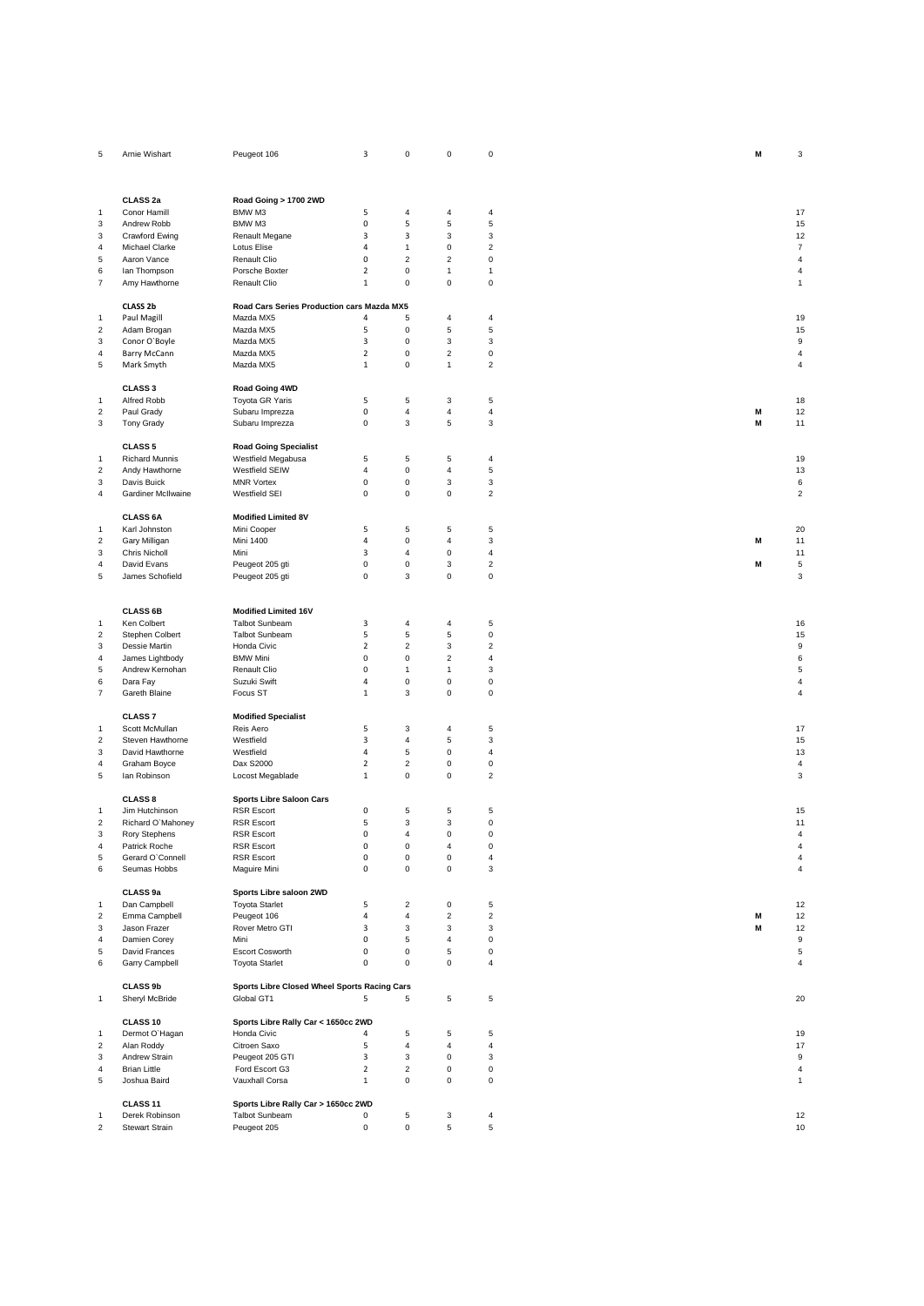| 5                         | Arnie Wishart         | Peugeot 106                                  | 3              | $\mathbf 0$               | 0                       | $\mathbf 0$             | M | 3                       |
|---------------------------|-----------------------|----------------------------------------------|----------------|---------------------------|-------------------------|-------------------------|---|-------------------------|
|                           |                       |                                              |                |                           |                         |                         |   |                         |
|                           |                       |                                              |                |                           |                         |                         |   |                         |
|                           |                       |                                              |                |                           |                         |                         |   |                         |
|                           | CLASS <sub>2a</sub>   | Road Going > 1700 2WD                        |                |                           |                         |                         |   |                         |
| 1                         | Conor Hamill          | BMW M3                                       | 5              | 4                         | 4                       | 4                       |   | 17                      |
| 3                         | Andrew Robb           | BMW M3                                       | 0              | 5                         | 5                       | 5                       |   | 15                      |
| 3                         | Crawford Ewing        | Renault Megane                               | 3              | 3                         | 3                       | 3                       |   | 12                      |
| 4                         | Michael Clarke        | Lotus Elise                                  | $\overline{4}$ | $\overline{1}$            | 0                       | $\overline{c}$          |   | $\overline{7}$          |
| 5                         | Aaron Vance           | Renault Clio                                 | 0              | $\overline{2}$            | $\overline{\mathbf{c}}$ | $\mathsf 0$             |   | $\overline{\mathbf{4}}$ |
| 6                         | lan Thompson          | Porsche Boxter                               | $\overline{2}$ | $\mathsf 0$               | $\mathbf{1}$            | $\mathbf{1}$            |   | $\sqrt{4}$              |
| $\overline{\mathfrak{c}}$ | Amy Hawthorne         | Renault Clio                                 | $\mathbf{1}$   | $\mathbf 0$               | 0                       | $\mathsf 0$             |   | $\mathbf{1}$            |
|                           |                       |                                              |                |                           |                         |                         |   |                         |
|                           | CLASS 2b              | Road Cars Series Production cars Mazda MX5   |                |                           |                         |                         |   |                         |
|                           |                       | Mazda MX5                                    | 4              | 5                         | 4                       |                         |   |                         |
| 1                         | Paul Magill           |                                              |                |                           |                         | 4                       |   | 19                      |
| $\overline{\mathbf{c}}$   | Adam Brogan           | Mazda MX5                                    | 5              | $\pmb{0}$                 | 5                       | 5                       |   | 15                      |
| 3                         | Conor O'Boyle         | Mazda MX5                                    | 3              | $\pmb{0}$                 | 3                       | 3                       |   | 9                       |
| 4                         | Barry McCann          | Mazda MX5                                    | $\overline{2}$ | $\mathbf 0$               | $\overline{c}$          | $\pmb{0}$               |   | $\sqrt{4}$              |
| 5                         | Mark Smyth            | Mazda MX5                                    | $\mathbf{1}$   | $\pmb{0}$                 | $\mathbf{1}$            | $\overline{c}$          |   | 4                       |
|                           |                       |                                              |                |                           |                         |                         |   |                         |
|                           | CLASS <sub>3</sub>    | Road Going 4WD                               |                |                           |                         |                         |   |                         |
| 1                         | Alfred Robb           | Toyota GR Yaris                              | 5              | 5                         | 3                       | 5                       |   | 18                      |
| $\overline{2}$            | Paul Grady            | Subaru Imprezza                              | 0              | $\overline{4}$            | $\overline{\mathbf{4}}$ | 4                       | M | 12                      |
| 3                         | <b>Tony Grady</b>     | Subaru Imprezza                              | 0              | $\mathsf 3$               | 5                       | 3                       | M | 11                      |
|                           |                       |                                              |                |                           |                         |                         |   |                         |
|                           | <b>CLASS 5</b>        | <b>Road Going Specialist</b>                 |                |                           |                         |                         |   |                         |
| 1                         | <b>Richard Munnis</b> | Westfield Megabusa                           | 5              | $\sqrt{5}$                | 5                       | $\sqrt{4}$              |   | 19                      |
| $\overline{c}$            | Andy Hawthorne        | Westfield SEIW                               | 4              | $\mathbf 0$               | $\overline{\mathbf{4}}$ | 5                       |   | 13                      |
| 3                         | Davis Buick           | <b>MNR Vortex</b>                            | 0              | $\mathbf 0$               | 3                       | 3                       |   | 6                       |
|                           |                       |                                              |                |                           |                         |                         |   |                         |
| 4                         | Gardiner McIlwaine    | Westfield SEI                                | 0              | $\mathbf 0$               | 0                       | $\boldsymbol{2}$        |   | $\overline{c}$          |
|                           |                       |                                              |                |                           |                         |                         |   |                         |
|                           | <b>CLASS 6A</b>       | <b>Modified Limited 8V</b>                   |                |                           |                         |                         |   |                         |
| 1                         | Karl Johnston         | Mini Cooper                                  | 5              | $\sqrt{5}$                | 5                       | 5                       |   | 20                      |
| $\boldsymbol{2}$          | Gary Milligan         | Mini 1400                                    | $\overline{4}$ | $\mathbf 0$               | $\overline{\mathbf{4}}$ | 3                       | M | 11                      |
| 3                         | Chris Nicholl         | Mini                                         | 3              | $\overline{4}$            | 0                       | $\sqrt{4}$              |   | 11                      |
| 4                         | David Evans           | Peugeot 205 gti                              | $\mathsf 0$    | $\mathbf 0$               | 3                       | $\boldsymbol{2}$        | M | 5                       |
| 5                         | James Schofield       | Peugeot 205 gti                              | $\mathsf 0$    | 3                         | 0                       | $\mathsf 0$             |   | 3                       |
|                           |                       |                                              |                |                           |                         |                         |   |                         |
|                           |                       |                                              |                |                           |                         |                         |   |                         |
|                           | <b>CLASS 6B</b>       | <b>Modified Limited 16V</b>                  |                |                           |                         |                         |   |                         |
| $\mathbf{1}$              | Ken Colbert           | <b>Talbot Sunbeam</b>                        | 3              | 4                         | 4                       | 5                       |   | 16                      |
| $\overline{\mathbf{c}}$   | Stephen Colbert       | <b>Talbot Sunbeam</b>                        | 5              | $\sqrt{5}$                | 5                       | $\mathsf 0$             |   | 15                      |
| 3                         | Dessie Martin         | Honda Civic                                  | $\overline{2}$ | $\overline{2}$            | 3                       | $\boldsymbol{2}$        |   | 9                       |
|                           |                       |                                              |                |                           |                         |                         |   |                         |
| 4                         | James Lightbody       | <b>BMW Mini</b>                              | 0              | $\pmb{0}$                 | $\overline{c}$          | $\overline{\mathbf{4}}$ |   | 6                       |
| 5                         | Andrew Kernohan       | Renault Clio                                 | 0              | $\overline{1}$            | 1                       | 3                       |   | 5                       |
| 6                         | Dara Fay              | Suzuki Swift                                 | 4              | $\mathbf 0$               | 0                       | 0                       |   | 4                       |
| $\overline{7}$            | Gareth Blaine         | Focus ST                                     | $\mathbf{1}$   | 3                         | 0                       | 0                       |   | 4                       |
|                           |                       |                                              |                |                           |                         |                         |   |                         |
|                           | <b>CLASS7</b>         | <b>Modified Specialist</b>                   |                |                           |                         |                         |   |                         |
| 1                         | Scott McMullan        | Reis Aero                                    | 5              | $_{\rm 3}$                | 4                       | 5                       |   | 17                      |
| $\overline{c}$            | Steven Hawthorne      | Westfield                                    | 3              | $\overline{4}$            | 5                       | 3                       |   | 15                      |
| 3                         | David Hawthorne       | Westfield                                    | $\overline{a}$ | $\sqrt{5}$                | 0                       | $\overline{4}$          |   | 13                      |
| 4                         | Graham Boyce          | Dax S2000                                    | $\overline{2}$ | $\overline{2}$            | 0                       | 0                       |   | $\overline{4}$          |
| 5                         | lan Robinson          | Locost Megablade                             | $\mathbf 1$    | $\mathbf 0$               | 0                       | $\overline{c}$          |   | 3                       |
|                           |                       |                                              |                |                           |                         |                         |   |                         |
|                           | <b>CLASS 8</b>        | <b>Sports Libre Saloon Cars</b>              |                |                           |                         |                         |   |                         |
| 1                         | Jim Hutchinson        | <b>RSR Escort</b>                            | 0              | 5                         | 5                       | 5                       |   | 15                      |
| $\overline{\mathbf{c}}$   | Richard O'Mahoney     | <b>RSR Escort</b>                            | 5              | $\ensuremath{\mathsf{3}}$ | 3                       | $\mathsf 0$             |   | 11                      |
|                           |                       |                                              | $\Omega$       | $\overline{4}$            | 0                       |                         |   | $\sqrt{4}$              |
| 3                         | Rory Stephens         | <b>RSR Escort</b>                            | 0              | $\pmb{0}$                 | 4                       | 0                       |   |                         |
| 4                         | Patrick Roche         | <b>RSR Escort</b>                            |                |                           |                         | $\pmb{0}$               |   | 4                       |
| 5                         | Gerard O'Connell      | <b>RSR Escort</b>                            | 0              | $\mathsf 0$               | 0                       | $\sqrt{4}$              |   | $\overline{4}$          |
| 6                         | Seumas Hobbs          | Maguire Mini                                 | 0              | $\mathbf 0$               | $\mathsf 0$             | 3                       |   | $\overline{4}$          |
|                           |                       |                                              |                |                           |                         |                         |   |                         |
|                           | CLASS 9a              | Sports Libre saloon 2WD                      |                |                           |                         |                         |   |                         |
| 1                         | Dan Campbell          | <b>Toyota Starlet</b>                        | 5              | $\overline{2}$            | 0                       | 5                       |   | 12                      |
| $\boldsymbol{2}$          | Emma Campbell         | Peugeot 106                                  | $\overline{a}$ | $\overline{4}$            | $\overline{\mathbf{c}}$ | $\mathbf 2$             | M | 12                      |
| 3                         | Jason Frazer          | Rover Metro GTI                              | 3              | $\mathbf{3}$              | 3                       | 3                       | M | 12                      |
| 4                         | Damien Corey          | Mini                                         | 0              | $\overline{5}$            | $\overline{\mathbf{4}}$ | $\mathsf 0$             |   | 9                       |
| 5                         | David Frances         | <b>Escort Cosworth</b>                       | 0              | $\mathsf 0$               | 5                       | 0                       |   | 5                       |
| 6                         | Garry Campbell        | <b>Toyota Starlet</b>                        | 0              | $\mathbf 0$               | $\mathsf 0$             | 4                       |   | 4                       |
|                           |                       |                                              |                |                           |                         |                         |   |                         |
|                           | <b>CLASS 9b</b>       | Sports Libre Closed Wheel Sports Racing Cars |                |                           |                         |                         |   |                         |
| $\mathbf{1}$              | Sheryl McBride        | Global GT1                                   | 5              | 5                         | 5                       | 5                       |   | 20                      |
|                           |                       |                                              |                |                           |                         |                         |   |                         |
|                           | CLASS 10              | Sports Libre Rally Car < 1650cc 2WD          |                |                           |                         |                         |   |                         |
|                           |                       | Honda Civic                                  |                |                           |                         |                         |   |                         |
| $\mathbf{1}$              | Dermot O'Hagan        |                                              | 4              | 5                         | 5                       | 5                       |   | 19                      |
| $\overline{\mathbf{c}}$   | Alan Roddy            | Citroen Saxo                                 | 5              | $\overline{4}$            | 4                       | $\overline{4}$          |   | 17                      |
| 3                         | Andrew Strain         | Peugeot 205 GTI                              | 3              | 3                         | 0                       | 3                       |   | 9                       |
| 4                         | <b>Brian Little</b>   | Ford Escort G3                               | $\overline{2}$ | $\overline{2}$            | 0                       | $\mathsf 0$             |   | $\overline{4}$          |
| 5                         | Joshua Baird          | Vauxhall Corsa                               | $\mathbf{1}$   | $\mathbf 0$               | 0                       | $\mathsf 0$             |   | $\mathbf{1}$            |
|                           |                       |                                              |                |                           |                         |                         |   |                         |
|                           | CLASS 11              | Sports Libre Rally Car > 1650cc 2WD          |                |                           |                         |                         |   |                         |
| 1                         | Derek Robinson        | <b>Talbot Sunbeam</b>                        | 0              | $\,$ 5 $\,$               | 3                       | $\sqrt{4}$              |   | 12                      |
| $\boldsymbol{2}$          | Stewart Strain        | Peugeot 205                                  | $\mathbf 0$    | $\mathsf 0$               | 5                       | 5                       |   | 10                      |
|                           |                       |                                              |                |                           |                         |                         |   |                         |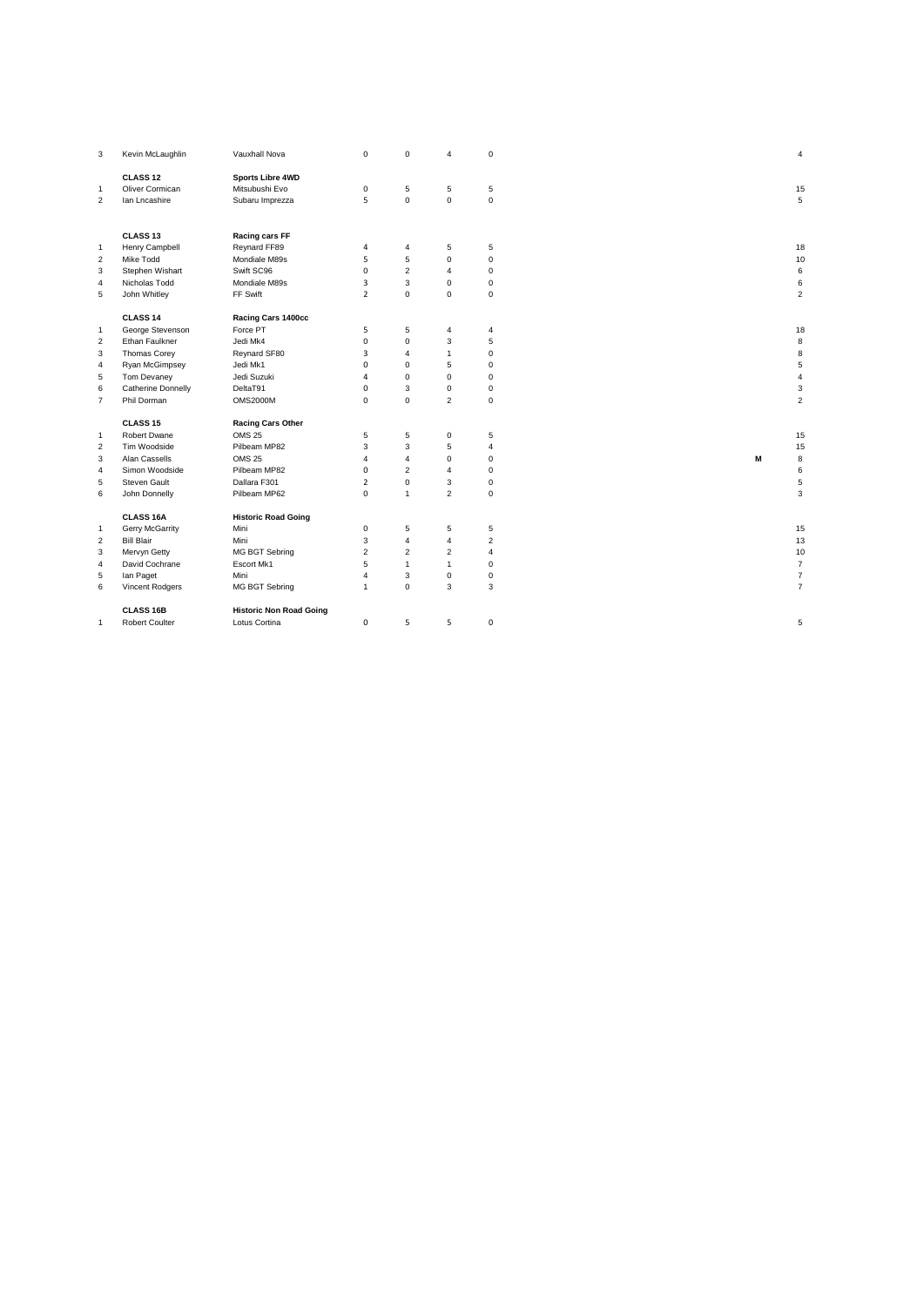| 3                       | Kevin McLaughlin    | Vauxhall Nova                  | $\mathsf 0$    | $\mathbf 0$    | 4              | $\mathbf 0$    |   | $\overline{4}$   |
|-------------------------|---------------------|--------------------------------|----------------|----------------|----------------|----------------|---|------------------|
|                         | CLASS <sub>12</sub> | <b>Sports Libre 4WD</b>        |                |                |                |                |   |                  |
| $\mathbf{1}$            | Oliver Cormican     | Mitsubushi Evo                 | $\mathsf 0$    | $\sqrt{5}$     | 5              | $\,$ 5 $\,$    |   | 15               |
| $\overline{2}$          | lan Lncashire       | Subaru Imprezza                | 5              | $\mathbf 0$    | $\mathbf 0$    | $\mathbf 0$    |   | 5                |
|                         |                     |                                |                |                |                |                |   |                  |
|                         | CLASS <sub>13</sub> | Racing cars FF                 |                |                |                |                |   |                  |
| $\mathbf{1}$            | Henry Campbell      | Reynard FF89                   | 4              | $\overline{4}$ | 5              | 5              |   | 18               |
| $\overline{2}$          | Mike Todd           | Mondiale M89s                  | 5              | $\overline{5}$ | $\mathbf 0$    | $\mathbf 0$    |   | $10$             |
| 3                       | Stephen Wishart     | Swift SC96                     | $\mathbf 0$    | $\overline{2}$ | $\overline{4}$ | $\mathbf 0$    |   | $\,6\,$          |
| $\overline{4}$          | Nicholas Todd       | Mondiale M89s                  | 3              | 3              | $\mathbf 0$    | $\mathsf 0$    |   | $\,6\,$          |
| 5                       | John Whitley        | FF Swift                       | $\overline{2}$ | $\mathbf 0$    | $\mathbf 0$    | $\mathbf 0$    |   | $\overline{2}$   |
|                         | CLASS <sub>14</sub> | Racing Cars 1400cc             |                |                |                |                |   |                  |
| $\mathbf{1}$            | George Stevenson    | Force PT                       | 5              | 5              | 4              | 4              |   | 18               |
| $\overline{\mathbf{c}}$ | Ethan Faulkner      | Jedi Mk4                       | $\mathbf 0$    | $\mathbf 0$    | 3              | 5              |   | 8                |
| 3                       | Thomas Corey        | Reynard SF80                   | 3              | $\overline{4}$ | $\mathbf{1}$   | $\mathbf 0$    |   | 8                |
| $\overline{4}$          | Ryan McGimpsey      | Jedi Mk1                       | 0              | $\mathbf 0$    | 5              | $\mathbf 0$    |   | $\mathbf 5$      |
| 5                       | Tom Devaney         | Jedi Suzuki                    | 4              | $\mathbf 0$    | $\mathbf 0$    | $\mathsf 0$    |   | $\overline{4}$   |
| 6                       | Catherine Donnelly  | DeltaT91                       | $\mathbf 0$    | $\mathbf{3}$   | $\mathbf 0$    | $\mathbf 0$    |   | $\mathbf 3$      |
| $\overline{7}$          | Phil Dorman         | <b>OMS2000M</b>                | $\mathbf 0$    | $\mathbf 0$    | $\overline{2}$ | $\mathbf 0$    |   | $\overline{2}$   |
|                         | CLASS <sub>15</sub> | <b>Racing Cars Other</b>       |                |                |                |                |   |                  |
| $\mathbf{1}$            | Robert Dwane        | <b>OMS 25</b>                  | 5              | $\overline{5}$ | $\mathbf 0$    | 5              |   | 15               |
| $\overline{2}$          | Tim Woodside        | Pilbeam MP82                   | 3              | 3              | 5              | $\overline{4}$ |   | 15               |
| 3                       | Alan Cassells       | <b>OMS 25</b>                  | 4              | $\overline{4}$ | $\Omega$       | $\mathbf 0$    | M | 8                |
| 4                       | Simon Woodside      | Pilbeam MP82                   | $\mathbf 0$    | $\overline{2}$ | $\overline{4}$ | $\mathbf 0$    |   | $\,6\,$          |
| 5                       | Steven Gault        | Dallara F301                   | $\overline{2}$ | $\mathbf 0$    | 3              | $\mathbf 0$    |   | $\mathbf 5$      |
| 6                       | John Donnelly       | Pilbeam MP62                   | $\mathbf 0$    | $\overline{1}$ | $\overline{c}$ | $\mathsf 0$    |   | $\mathbf 3$      |
|                         | CLASS 16A           | <b>Historic Road Going</b>     |                |                |                |                |   |                  |
| $\mathbf{1}$            | Gerry McGarrity     | Mini                           | $\mathsf 0$    | 5              | 5              | 5              |   | 15               |
| $\overline{2}$          | <b>Bill Blair</b>   | Mini                           | 3              | $\overline{4}$ | $\overline{4}$ | $\overline{c}$ |   | 13               |
| 3                       | Mervyn Getty        | <b>MG BGT Sebring</b>          | $\overline{c}$ | $\overline{2}$ | $\overline{c}$ | $\overline{4}$ |   | 10               |
| $\overline{4}$          | David Cochrane      | Escort Mk1                     | 5              | $\overline{1}$ | $\mathbf{1}$   | $\mathbf 0$    |   | $\overline{7}$   |
| 5                       | lan Paget           | Mini                           | $\overline{4}$ | $\mathbf{3}$   | $\mathbf 0$    | $\mathsf 0$    |   | $\boldsymbol{7}$ |
| 6                       | Vincent Rodgers     | MG BGT Sebring                 | $\mathbf{1}$   | $\mathbf 0$    | 3              | 3              |   | $\overline{7}$   |
|                         | <b>CLASS 16B</b>    | <b>Historic Non Road Going</b> |                |                |                |                |   |                  |
| 1                       | Robert Coulter      | Lotus Cortina                  | 0              | 5              | 5              | $\mathsf 0$    |   | 5                |